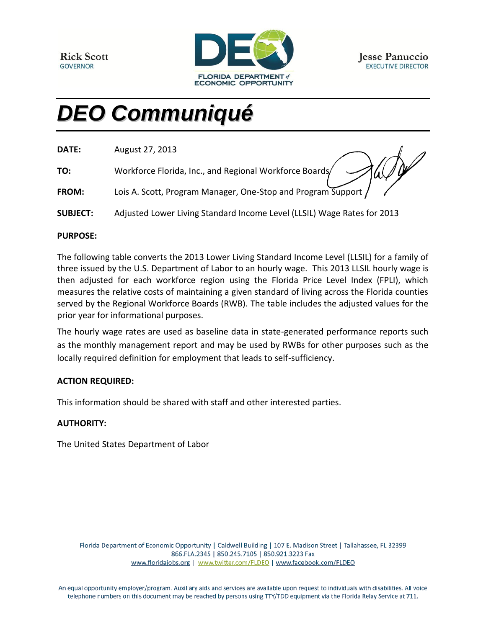

# *DEO Communiqué*

| DATE: | August 27, 2013                                         |
|-------|---------------------------------------------------------|
| TO:   | Workforce Florida, Inc., and Regional Workforce Boards/ |

| <b>FROM:</b> | Lois A. Scott, Program Manager, One-Stop and Program Support |  |
|--------------|--------------------------------------------------------------|--|
|              |                                                              |  |
|              |                                                              |  |

**SUBJECT:** Adjusted Lower Living Standard Income Level (LLSIL) Wage Rates for 2013

#### **PURPOSE:**

The following table converts the 2013 Lower Living Standard Income Level (LLSIL) for a family of three issued by the U.S. Department of Labor to an hourly wage. This 2013 LLSIL hourly wage is then adjusted for each workforce region using the Florida Price Level Index (FPLI), which measures the relative costs of maintaining a given standard of living across the Florida counties served by the Regional Workforce Boards (RWB). The table includes the adjusted values for the prior year for informational purposes.

The hourly wage rates are used as baseline data in state-generated performance reports such as the monthly management report and may be used by RWBs for other purposes such as the locally required definition for employment that leads to self-sufficiency.

#### **ACTION REQUIRED:**

This information should be shared with staff and other interested parties.

### **AUTHORITY:**

The United States Department of Labor

Florida Department of Economic Opportunity | Caldwell Building | 107 E. Madison Street | Tallahassee, FL 32399 866.FLA.2345 | 850.245.7105 | 850.921.3223 Fax www.floridajobs.org | www.twitter.com/FLDEO | www.facebook.com/FLDEO

An equal opportunity employer/program. Auxiliary aids and services are available upon request to individuals with disabilities. All voice telephone numbers on this document may be reached by persons using TTY/TDD equipment via the Florida Relay Service at 711.